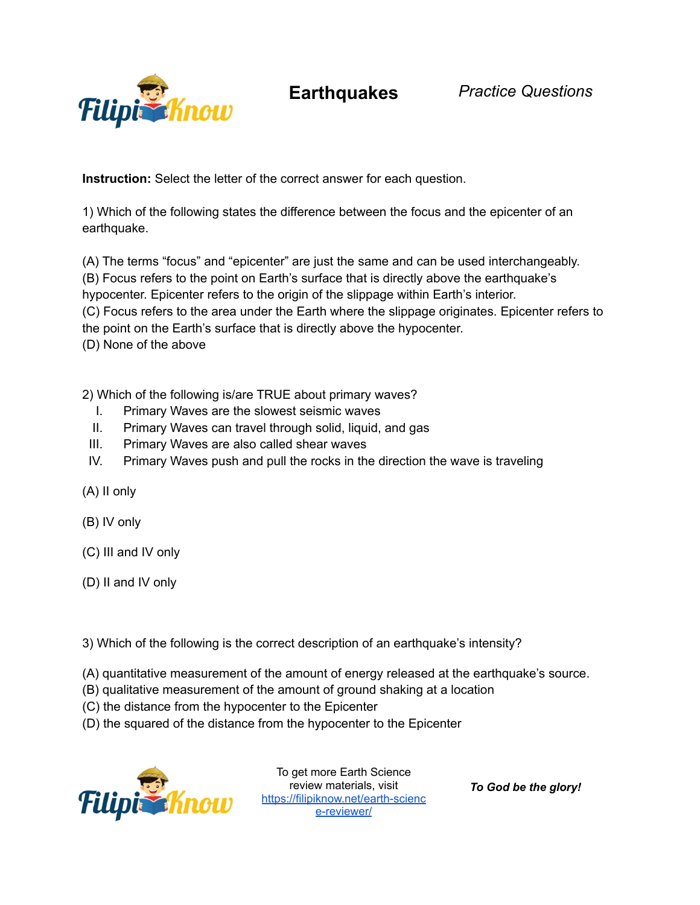

**Instruction:** Select the letter of the correct answer for each question.

1) Which of the following states the difference between the focus and the epicenter of an earthquake.

(A) The terms "focus" and "epicenter" are just the same and can be used interchangeably. (B) Focus refers to the point on Earth's surface that is directly above the earthquake's hypocenter. Epicenter refers to the origin of the slippage within Earth's interior. (C) Focus refers to the area under the Earth where the slippage originates. Epicenter refers to the point on the Earth's surface that is directly above the hypocenter. (D) None of the above

2) Which of the following is/are TRUE about primary waves?

- I. Primary Waves are the slowest seismic waves
- II. Primary Waves can travel through solid, liquid, and gas
- III. Primary Waves are also called shear waves
- IV. Primary Waves push and pull the rocks in the direction the wave is traveling
- (A) II only
- (B) IV only
- (C) III and IV only
- (D) II and IV only
- 3) Which of the following is the correct description of an earthquake's intensity?
- (A) quantitative measurement of the amount of energy released at the earthquake's source.
- (B) qualitative measurement of the amount of ground shaking at a location
- (C) the distance from the hypocenter to the Epicenter
- (D) the squared of the distance from the hypocenter to the Epicenter



To get more Earth Science review materials, visit [https://filipiknow.net/earth-scienc](https://filipiknow.net/earth-science-reviewer/) [e-reviewer/](https://filipiknow.net/earth-science-reviewer/)

*To God be the glory!*